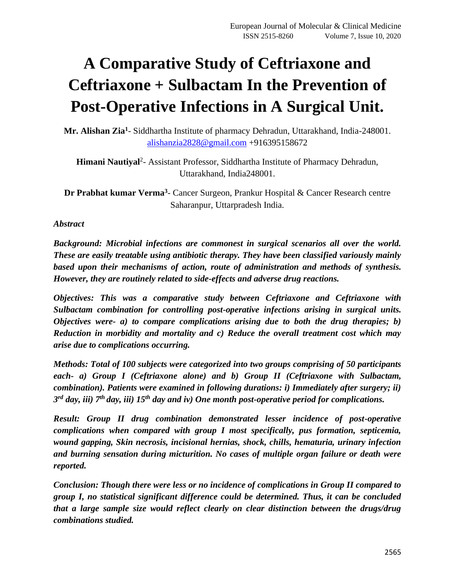# **A Comparative Study of Ceftriaxone and Ceftriaxone + Sulbactam In the Prevention of Post-Operative Infections in A Surgical Unit.**

**Mr. Alishan Zia<sup>1</sup>** - Siddhartha Institute of pharmacy Dehradun, Uttarakhand, India-248001. [alishanzia2828@gmail.com](mailto:alishanzia2828@gmail.com) +916395158672

Himani Nautiyal<sup>2</sup>- Assistant Professor, Siddhartha Institute of Pharmacy Dehradun, Uttarakhand, India248001.

**Dr Prabhat kumar Verma<sup>3</sup>** - Cancer Surgeon, Prankur Hospital & Cancer Research centre Saharanpur, Uttarpradesh India.

#### *Abstract*

*Background: Microbial infections are commonest in surgical scenarios all over the world. These are easily treatable using antibiotic therapy. They have been classified variously mainly based upon their mechanisms of action, route of administration and methods of synthesis. However, they are routinely related to side-effects and adverse drug reactions.* 

*Objectives: This was a comparative study between Ceftriaxone and Ceftriaxone with Sulbactam combination for controlling post-operative infections arising in surgical units. Objectives were- a) to compare complications arising due to both the drug therapies; b) Reduction in morbidity and mortality and c) Reduce the overall treatment cost which may arise due to complications occurring.* 

*Methods: Total of 100 subjects were categorized into two groups comprising of 50 participants each- a) Group I (Ceftriaxone alone) and b) Group II (Ceftriaxone with Sulbactam, combination). Patients were examined in following durations: i) Immediately after surgery; ii) 3 rd day, iii) 7th day, iii) 15th day and iv) One month post-operative period for complications.*

*Result: Group II drug combination demonstrated lesser incidence of post-operative complications when compared with group I most specifically, pus formation, septicemia, wound gapping, Skin necrosis, incisional hernias, shock, chills, hematuria, urinary infection and burning sensation during micturition. No cases of multiple organ failure or death were reported.* 

*Conclusion: Though there were less or no incidence of complications in Group II compared to group I, no statistical significant difference could be determined. Thus, it can be concluded that a large sample size would reflect clearly on clear distinction between the drugs/drug combinations studied.*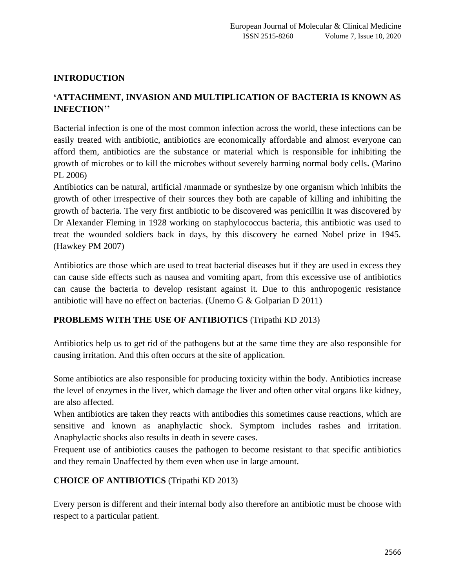#### **INTRODUCTION**

## **'ATTACHMENT, INVASION AND MULTIPLICATION OF BACTERIA IS KNOWN AS INFECTION''**

Bacterial infection is one of the most common infection across the world, these infections can be easily treated with antibiotic, antibiotics are economically affordable and almost everyone can afford them, antibiotics are the substance or material which is responsible for inhibiting the growth of microbes or to kill the microbes without severely harming normal body cells**.** (Marino PL 2006)

Antibiotics can be natural, artificial /manmade or synthesize by one organism which inhibits the growth of other irrespective of their sources they both are capable of killing and inhibiting the growth of bacteria. The very first antibiotic to be discovered was penicillin It was discovered by Dr Alexander Fleming in 1928 working on staphylococcus bacteria, this antibiotic was used to treat the wounded soldiers back in days, by this discovery he earned Nobel prize in 1945. (Hawkey PM 2007)

Antibiotics are those which are used to treat bacterial diseases but if they are used in excess they can cause side effects such as nausea and vomiting apart, from this excessive use of antibiotics can cause the bacteria to develop resistant against it. Due to this anthropogenic resistance antibiotic will have no effect on bacterias. (Unemo G & Golparian D 2011)

#### **PROBLEMS WITH THE USE OF ANTIBIOTICS** (Tripathi KD 2013)

Antibiotics help us to get rid of the pathogens but at the same time they are also responsible for causing irritation. And this often occurs at the site of application.

Some antibiotics are also responsible for producing toxicity within the body. Antibiotics increase the level of enzymes in the liver, which damage the liver and often other vital organs like kidney, are also affected.

When antibiotics are taken they reacts with antibodies this sometimes cause reactions, which are sensitive and known as anaphylactic shock. Symptom includes rashes and irritation. Anaphylactic shocks also results in death in severe cases.

Frequent use of antibiotics causes the pathogen to become resistant to that specific antibiotics and they remain Unaffected by them even when use in large amount.

#### **CHOICE OF ANTIBIOTICS** (Tripathi KD 2013)

Every person is different and their internal body also therefore an antibiotic must be choose with respect to a particular patient.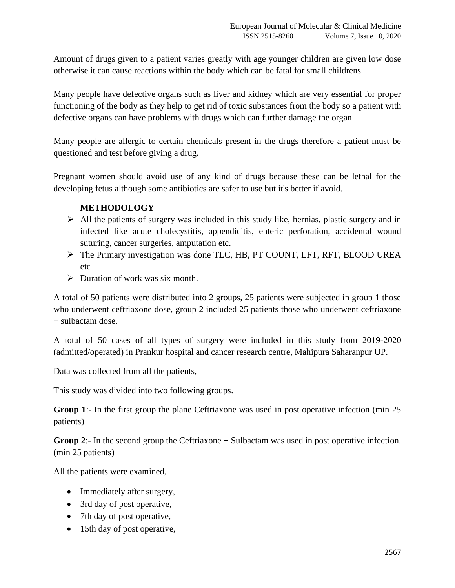Amount of drugs given to a patient varies greatly with age younger children are given low dose otherwise it can cause reactions within the body which can be fatal for small childrens.

Many people have defective organs such as liver and kidney which are very essential for proper functioning of the body as they help to get rid of toxic substances from the body so a patient with defective organs can have problems with drugs which can further damage the organ.

Many people are allergic to certain chemicals present in the drugs therefore a patient must be questioned and test before giving a drug.

Pregnant women should avoid use of any kind of drugs because these can be lethal for the developing fetus although some antibiotics are safer to use but it's better if avoid.

#### **METHODOLOGY**

- ➢ All the patients of surgery was included in this study like, hernias, plastic surgery and in infected like acute cholecystitis, appendicitis, enteric perforation, accidental wound suturing, cancer surgeries, amputation etc.
- ➢ The Primary investigation was done TLC, HB, PT COUNT, LFT, RFT, BLOOD UREA etc
- $\triangleright$  Duration of work was six month.

A total of 50 patients were distributed into 2 groups, 25 patients were subjected in group 1 those who underwent ceftriaxone dose, group 2 included 25 patients those who underwent ceftriaxone + sulbactam dose.

A total of 50 cases of all types of surgery were included in this study from 2019-2020 (admitted/operated) in Prankur hospital and cancer research centre, Mahipura Saharanpur UP.

Data was collected from all the patients,

This study was divided into two following groups.

**Group 1**:- In the first group the plane Ceftriaxone was used in post operative infection (min 25 patients)

**Group 2:-** In the second group the Ceftriaxone + Sulbactam was used in post operative infection. (min 25 patients)

All the patients were examined,

- Immediately after surgery,
- 3rd day of post operative,
- 7th day of post operative,
- 15th day of post operative,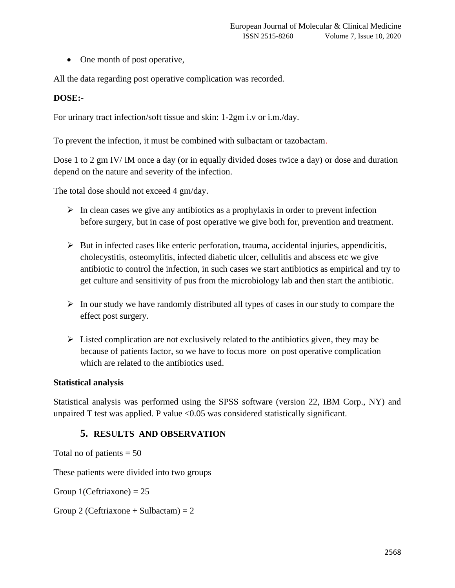• One month of post operative,

All the data regarding post operative complication was recorded.

#### **DOSE:-**

For urinary tract infection/soft tissue and skin: 1-2gm i.v or i.m./day.

To prevent the infection, it must be combined with sulbactam or tazobactam.

Dose 1 to 2 gm IV/ IM once a day (or in equally divided doses twice a day) or dose and duration depend on the nature and severity of the infection.

The total dose should not exceed 4 gm/day.

- $\triangleright$  In clean cases we give any antibiotics as a prophylaxis in order to prevent infection before surgery, but in case of post operative we give both for, prevention and treatment.
- $\triangleright$  But in infected cases like enteric perforation, trauma, accidental injuries, appendicitis, cholecystitis, osteomylitis, infected diabetic ulcer, cellulitis and abscess etc we give antibiotic to control the infection, in such cases we start antibiotics as empirical and try to get culture and sensitivity of pus from the microbiology lab and then start the antibiotic.
- $\triangleright$  In our study we have randomly distributed all types of cases in our study to compare the effect post surgery.
- $\triangleright$  Listed complication are not exclusively related to the antibiotics given, they may be because of patients factor, so we have to focus more on post operative complication which are related to the antibiotics used.

#### **Statistical analysis**

Statistical analysis was performed using the SPSS software (version 22, IBM Corp., NY) and unpaired  $T$  test was applied. P value  $\langle 0.05 \rangle$  was considered statistically significant.

#### **5. RESULTS AND OBSERVATION**

Total no of patients  $= 50$ 

These patients were divided into two groups

Group  $1$ (Ceftriaxone) = 25

Group 2 (Ceftriaxone + Sulbactam) =  $2$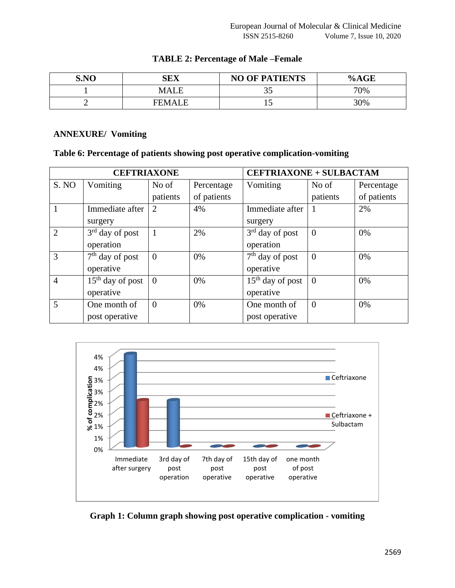| S.NO | <b>SEX</b>    | <b>NO OF PATIENTS</b> | %AGE |
|------|---------------|-----------------------|------|
|      | MALE          | ں ر                   | 70%  |
|      | <b>FEMALE</b> | ⊥J                    | 30%  |

#### **TABLE 2: Percentage of Male –Female**

#### **ANNEXURE/ Vomiting**

#### **Table 6: Percentage of patients showing post operative complication-vomiting**

| <b>CEFTRIAXONE</b> |                    |                |             | <b>CEFTRIAXONE + SULBACTAM</b> |                |             |
|--------------------|--------------------|----------------|-------------|--------------------------------|----------------|-------------|
| S. NO              | Vomiting           | No of          | Percentage  | Vomiting                       | No of          | Percentage  |
|                    |                    | patients       | of patients |                                | patients       | of patients |
|                    | Immediate after    | 2              | 4%          | Immediate after                |                | 2%          |
|                    | surgery            |                |             | surgery                        |                |             |
| $\overline{2}$     | $3rd$ day of post  | 1              | 2%          | $3rd$ day of post              | $\theta$       | 0%          |
|                    | operation          |                |             | operation                      |                |             |
| 3                  | $7th$ day of post  | $\theta$       | 0%          | $7th$ day of post              | $\theta$       | 0%          |
|                    | operative          |                |             | operative                      |                |             |
| $\overline{4}$     | $15th$ day of post | $\overline{0}$ | 0%          | $15th$ day of post             | $\overline{0}$ | 0%          |
|                    | operative          |                |             | operative                      |                |             |
| 5                  | One month of       | $\overline{0}$ | 0%          | One month of                   | $\theta$       | 0%          |
|                    | post operative     |                |             | post operative                 |                |             |



**Graph 1: Column graph showing post operative complication - vomiting**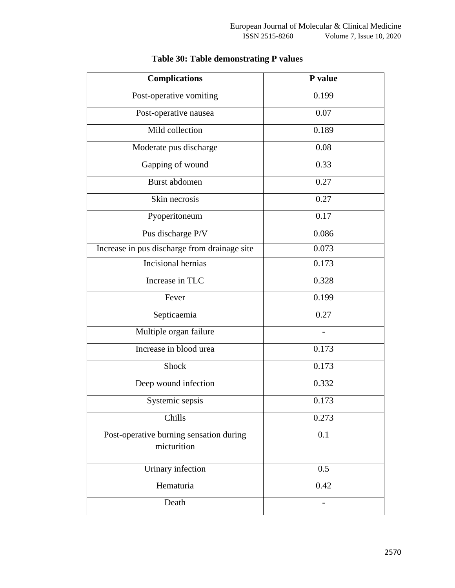| <b>Complications</b>                                   | P value |
|--------------------------------------------------------|---------|
| Post-operative vomiting                                | 0.199   |
| Post-operative nausea                                  | 0.07    |
| Mild collection                                        | 0.189   |
| Moderate pus discharge                                 | 0.08    |
| Gapping of wound                                       | 0.33    |
| Burst abdomen                                          | 0.27    |
| Skin necrosis                                          | 0.27    |
| Pyoperitoneum                                          | 0.17    |
| Pus discharge P/V                                      | 0.086   |
| Increase in pus discharge from drainage site           | 0.073   |
| Incisional hernias                                     | 0.173   |
| Increase in TLC                                        | 0.328   |
| Fever                                                  | 0.199   |
| Septicaemia                                            | 0.27    |
| Multiple organ failure                                 |         |
| Increase in blood urea                                 | 0.173   |
| Shock                                                  | 0.173   |
| Deep wound infection                                   | 0.332   |
| Systemic sepsis                                        | 0.173   |
| Chills                                                 | 0.273   |
| Post-operative burning sensation during<br>micturition | 0.1     |
| Urinary infection                                      | 0.5     |
|                                                        |         |
| Hematuria                                              | 0.42    |
| Death                                                  |         |

# **Table 30: Table demonstrating P values**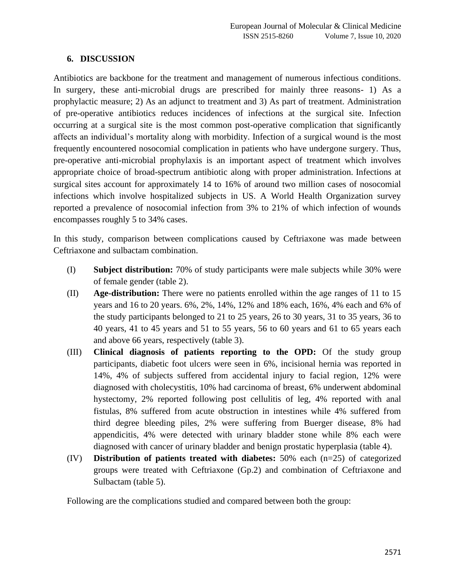#### **6. DISCUSSION**

Antibiotics are backbone for the treatment and management of numerous infectious conditions. In surgery, these anti-microbial drugs are prescribed for mainly three reasons- 1) As a prophylactic measure; 2) As an adjunct to treatment and 3) As part of treatment. Administration of pre-operative antibiotics reduces incidences of infections at the surgical site. Infection occurring at a surgical site is the most common post-operative complication that significantly affects an individual's mortality along with morbidity. Infection of a surgical wound is the most frequently encountered nosocomial complication in patients who have undergone surgery. Thus, pre-operative anti-microbial prophylaxis is an important aspect of treatment which involves appropriate choice of broad-spectrum antibiotic along with proper administration. Infections at surgical sites account for approximately 14 to 16% of around two million cases of nosocomial infections which involve hospitalized subjects in US. A World Health Organization survey reported a prevalence of nosocomial infection from 3% to 21% of which infection of wounds encompasses roughly 5 to 34% cases.

In this study, comparison between complications caused by Ceftriaxone was made between Ceftriaxone and sulbactam combination.

- (I) **Subject distribution:** 70% of study participants were male subjects while 30% were of female gender (table 2).
- (II) **Age-distribution:** There were no patients enrolled within the age ranges of 11 to 15 years and 16 to 20 years. 6%, 2%, 14%, 12% and 18% each, 16%, 4% each and 6% of the study participants belonged to 21 to 25 years, 26 to 30 years, 31 to 35 years, 36 to 40 years, 41 to 45 years and 51 to 55 years, 56 to 60 years and 61 to 65 years each and above 66 years, respectively (table 3).
- (III) **Clinical diagnosis of patients reporting to the OPD:** Of the study group participants, diabetic foot ulcers were seen in 6%, incisional hernia was reported in 14%, 4% of subjects suffered from accidental injury to facial region, 12% were diagnosed with cholecystitis, 10% had carcinoma of breast, 6% underwent abdominal hystectomy, 2% reported following post cellulitis of leg, 4% reported with anal fistulas, 8% suffered from acute obstruction in intestines while 4% suffered from third degree bleeding piles, 2% were suffering from Buerger disease, 8% had appendicitis, 4% were detected with urinary bladder stone while 8% each were diagnosed with cancer of urinary bladder and benign prostatic hyperplasia (table 4).
- (IV) **Distribution of patients treated with diabetes:** 50% each (n=25) of categorized groups were treated with Ceftriaxone (Gp.2) and combination of Ceftriaxone and Sulbactam (table 5).

Following are the complications studied and compared between both the group: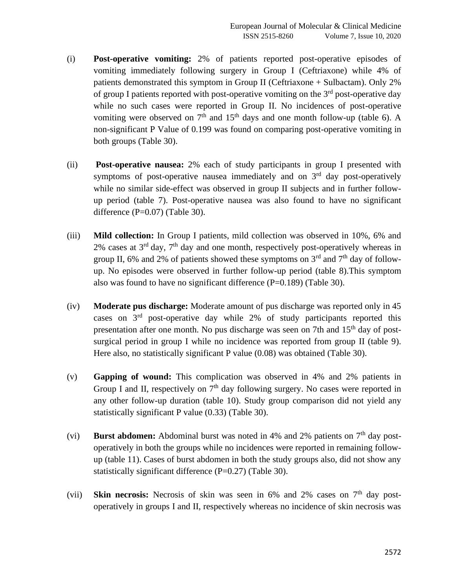- (i) **Post-operative vomiting:** 2% of patients reported post-operative episodes of vomiting immediately following surgery in Group I (Ceftriaxone) while 4% of patients demonstrated this symptom in Group II (Ceftriaxone + Sulbactam). Only 2% of group I patients reported with post-operative vomiting on the  $3<sup>rd</sup>$  post-operative day while no such cases were reported in Group II. No incidences of post-operative vomiting were observed on  $7<sup>th</sup>$  and  $15<sup>th</sup>$  days and one month follow-up (table 6). A non-significant P Value of 0.199 was found on comparing post-operative vomiting in both groups (Table 30).
- (ii) **Post-operative nausea:** 2% each of study participants in group I presented with symptoms of post-operative nausea immediately and on  $3<sup>rd</sup>$  day post-operatively while no similar side-effect was observed in group II subjects and in further followup period (table 7). Post-operative nausea was also found to have no significant difference  $(P=0.07)$  (Table 30).
- (iii) **Mild collection:** In Group I patients, mild collection was observed in 10%, 6% and 2% cases at  $3<sup>rd</sup>$  day,  $7<sup>th</sup>$  day and one month, respectively post-operatively whereas in group II, 6% and 2% of patients showed these symptoms on  $3<sup>rd</sup>$  and  $7<sup>th</sup>$  day of followup. No episodes were observed in further follow-up period (table 8).This symptom also was found to have no significant difference (P=0.189) (Table 30).
- (iv) **Moderate pus discharge:** Moderate amount of pus discharge was reported only in 45 cases on 3rd post-operative day while 2% of study participants reported this presentation after one month. No pus discharge was seen on 7th and  $15<sup>th</sup>$  day of postsurgical period in group I while no incidence was reported from group II (table 9). Here also, no statistically significant P value (0.08) was obtained (Table 30).
- (v) **Gapping of wound:** This complication was observed in 4% and 2% patients in Group I and II, respectively on  $7<sup>th</sup>$  day following surgery. No cases were reported in any other follow-up duration (table 10). Study group comparison did not yield any statistically significant P value (0.33) (Table 30).
- (vi) **Burst abdomen:** Abdominal burst was noted in 4% and 2% patients on 7<sup>th</sup> day postoperatively in both the groups while no incidences were reported in remaining followup (table 11). Cases of burst abdomen in both the study groups also, did not show any statistically significant difference (P=0.27) (Table 30).
- (vii) **Skin necrosis:** Necrosis of skin was seen in 6% and 2% cases on 7<sup>th</sup> day postoperatively in groups I and II, respectively whereas no incidence of skin necrosis was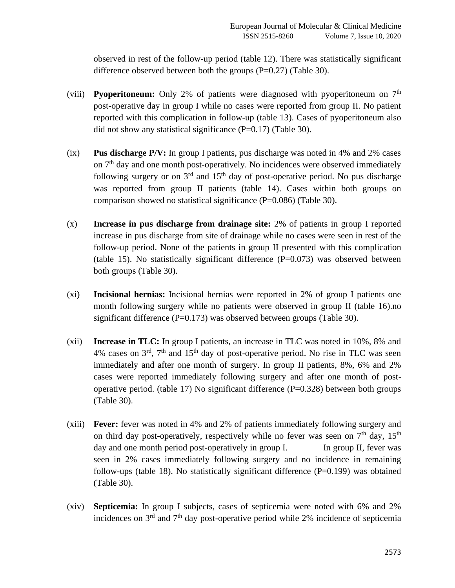observed in rest of the follow-up period (table 12). There was statistically significant difference observed between both the groups  $(P=0.27)$  (Table 30).

- (viii) **Pyoperitoneum:** Only 2% of patients were diagnosed with pyoperitoneum on  $7<sup>th</sup>$ post-operative day in group I while no cases were reported from group II. No patient reported with this complication in follow-up (table 13). Cases of pyoperitoneum also did not show any statistical significance (P=0.17) (Table 30).
- (ix) **Pus discharge P/V:** In group I patients, pus discharge was noted in 4% and 2% cases on  $7<sup>th</sup>$  day and one month post-operatively. No incidences were observed immediately following surgery or on  $3<sup>rd</sup>$  and  $15<sup>th</sup>$  day of post-operative period. No pus discharge was reported from group II patients (table 14). Cases within both groups on comparison showed no statistical significance  $(P=0.086)$  (Table 30).
- (x) **Increase in pus discharge from drainage site:** 2% of patients in group I reported increase in pus discharge from site of drainage while no cases were seen in rest of the follow-up period. None of the patients in group II presented with this complication (table 15). No statistically significant difference (P=0.073) was observed between both groups (Table 30).
- (xi) **Incisional hernias:** Incisional hernias were reported in 2% of group I patients one month following surgery while no patients were observed in group II (table 16).no significant difference ( $P=0.173$ ) was observed between groups (Table 30).
- (xii) **Increase in TLC:** In group I patients, an increase in TLC was noted in 10%, 8% and 4% cases on  $3<sup>rd</sup>$ ,  $7<sup>th</sup>$  and  $15<sup>th</sup>$  day of post-operative period. No rise in TLC was seen immediately and after one month of surgery. In group II patients, 8%, 6% and 2% cases were reported immediately following surgery and after one month of postoperative period. (table 17) No significant difference  $(P=0.328)$  between both groups (Table 30).
- (xiii) **Fever:** fever was noted in 4% and 2% of patients immediately following surgery and on third day post-operatively, respectively while no fever was seen on  $7<sup>th</sup>$  day,  $15<sup>th</sup>$ day and one month period post-operatively in group I. In group II, fever was seen in 2% cases immediately following surgery and no incidence in remaining follow-ups (table 18). No statistically significant difference  $(P=0.199)$  was obtained (Table 30).
- (xiv) **Septicemia:** In group I subjects, cases of septicemia were noted with 6% and 2% incidences on  $3<sup>rd</sup>$  and  $7<sup>th</sup>$  day post-operative period while 2% incidence of septicemia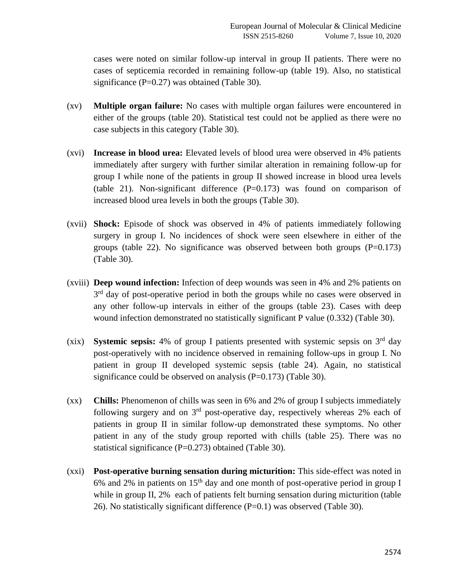cases were noted on similar follow-up interval in group II patients. There were no cases of septicemia recorded in remaining follow-up (table 19). Also, no statistical significance  $(P=0.27)$  was obtained (Table 30).

- (xv) **Multiple organ failure:** No cases with multiple organ failures were encountered in either of the groups (table 20). Statistical test could not be applied as there were no case subjects in this category (Table 30).
- (xvi) **Increase in blood urea:** Elevated levels of blood urea were observed in 4% patients immediately after surgery with further similar alteration in remaining follow-up for group I while none of the patients in group II showed increase in blood urea levels (table 21). Non-significant difference  $(P=0.173)$  was found on comparison of increased blood urea levels in both the groups (Table 30).
- (xvii) **Shock:** Episode of shock was observed in 4% of patients immediately following surgery in group I. No incidences of shock were seen elsewhere in either of the groups (table 22). No significance was observed between both groups  $(P=0.173)$ (Table 30).
- (xviii) **Deep wound infection:** Infection of deep wounds was seen in 4% and 2% patients on 3<sup>rd</sup> day of post-operative period in both the groups while no cases were observed in any other follow-up intervals in either of the groups (table 23). Cases with deep wound infection demonstrated no statistically significant P value (0.332) (Table 30).
- (xix) **Systemic sepsis:** 4% of group I patients presented with systemic sepsis on 3rd day post-operatively with no incidence observed in remaining follow-ups in group I. No patient in group II developed systemic sepsis (table 24). Again, no statistical significance could be observed on analysis  $(P=0.173)$  (Table 30).
- (xx) **Chills:** Phenomenon of chills was seen in 6% and 2% of group I subjects immediately following surgery and on  $3<sup>rd</sup>$  post-operative day, respectively whereas 2% each of patients in group II in similar follow-up demonstrated these symptoms. No other patient in any of the study group reported with chills (table 25). There was no statistical significance (P=0.273) obtained (Table 30).
- (xxi) **Post-operative burning sensation during micturition:** This side-effect was noted in 6% and 2% in patients on  $15<sup>th</sup>$  day and one month of post-operative period in group I while in group II, 2% each of patients felt burning sensation during micturition (table 26). No statistically significant difference (P=0.1) was observed (Table 30).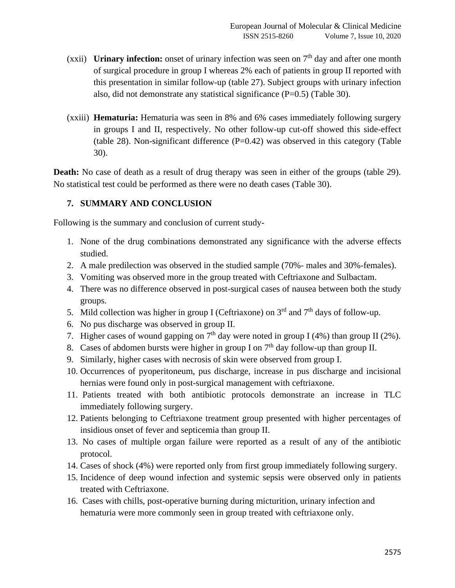- (xxii) **Urinary infection:** onset of urinary infection was seen on  $7<sup>th</sup>$  day and after one month of surgical procedure in group I whereas 2% each of patients in group II reported with this presentation in similar follow-up (table 27). Subject groups with urinary infection also, did not demonstrate any statistical significance (P=0.5) (Table 30).
- (xxiii) **Hematuria:** Hematuria was seen in 8% and 6% cases immediately following surgery in groups I and II, respectively. No other follow-up cut-off showed this side-effect (table 28). Non-significant difference  $(P=0.42)$  was observed in this category (Table 30).

**Death:** No case of death as a result of drug therapy was seen in either of the groups (table 29). No statistical test could be performed as there were no death cases (Table 30).

## **7. SUMMARY AND CONCLUSION**

Following is the summary and conclusion of current study-

- 1. None of the drug combinations demonstrated any significance with the adverse effects studied.
- 2. A male predilection was observed in the studied sample (70%- males and 30%-females).
- 3. Vomiting was observed more in the group treated with Ceftriaxone and Sulbactam.
- 4. There was no difference observed in post-surgical cases of nausea between both the study groups.
- 5. Mild collection was higher in group I (Ceftriaxone) on  $3<sup>rd</sup>$  and  $7<sup>th</sup>$  days of follow-up.
- 6. No pus discharge was observed in group II.
- 7. Higher cases of wound gapping on  $7<sup>th</sup>$  day were noted in group I (4%) than group II (2%).
- 8. Cases of abdomen bursts were higher in group I on  $7<sup>th</sup>$  day follow-up than group II.
- 9. Similarly, higher cases with necrosis of skin were observed from group I.
- 10. Occurrences of pyoperitoneum, pus discharge, increase in pus discharge and incisional hernias were found only in post-surgical management with ceftriaxone.
- 11. Patients treated with both antibiotic protocols demonstrate an increase in TLC immediately following surgery.
- 12. Patients belonging to Ceftriaxone treatment group presented with higher percentages of insidious onset of fever and septicemia than group II.
- 13. No cases of multiple organ failure were reported as a result of any of the antibiotic protocol.
- 14. Cases of shock (4%) were reported only from first group immediately following surgery.
- 15. Incidence of deep wound infection and systemic sepsis were observed only in patients treated with Ceftriaxone.
- 16. Cases with chills, post-operative burning during micturition, urinary infection and hematuria were more commonly seen in group treated with ceftriaxone only.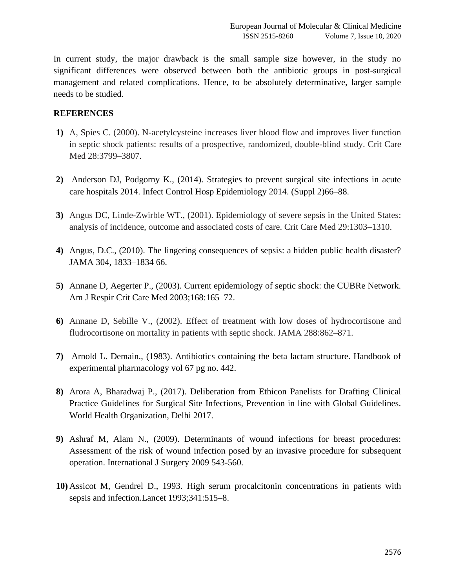In current study, the major drawback is the small sample size however, in the study no significant differences were observed between both the antibiotic groups in post-surgical management and related complications. Hence, to be absolutely determinative, larger sample needs to be studied.

#### **REFERENCES**

- **1)** A, Spies C. (2000). N-acetylcysteine increases liver blood flow and improves liver function in septic shock patients: results of a prospective, randomized, double-blind study. Crit Care Med 28:3799–3807.
- **2)** Anderson DJ, Podgorny K., (2014). Strategies to prevent surgical site infections in acute care hospitals 2014. Infect Control Hosp Epidemiology 2014. (Suppl 2)66–88.
- **3)** Angus DC, Linde-Zwirble WT., (2001). Epidemiology of severe sepsis in the United States: analysis of incidence, outcome and associated costs of care. Crit Care Med 29:1303–1310.
- **4)** Angus, D.C., (2010). The lingering consequences of sepsis: a hidden public health disaster? JAMA 304, 1833–1834 66.
- **5)** Annane D, Aegerter P., (2003). Current epidemiology of septic shock: the CUBRe Network. Am J Respir Crit Care Med 2003;168:165–72.
- **6)** Annane D, Sebille V., (2002). Effect of treatment with low doses of hydrocortisone and fludrocortisone on mortality in patients with septic shock. JAMA 288:862–871.
- **7)** Arnold L. Demain., (1983). Antibiotics containing the beta lactam structure. Handbook of experimental pharmacology vol 67 pg no. 442.
- **8)** Arora A, Bharadwaj P., (2017). Deliberation from Ethicon Panelists for Drafting Clinical Practice Guidelines for Surgical Site Infections, Prevention in line with Global Guidelines. World Health Organization, Delhi 2017.
- **9)** Ashraf M, Alam N., (2009). Determinants of wound infections for breast procedures: Assessment of the risk of wound infection posed by an invasive procedure for subsequent operation. International J Surgery 2009 543-560.
- **10)** Assicot M, Gendrel D., 1993. High serum procalcitonin concentrations in patients with sepsis and infection.Lancet 1993;341:515–8.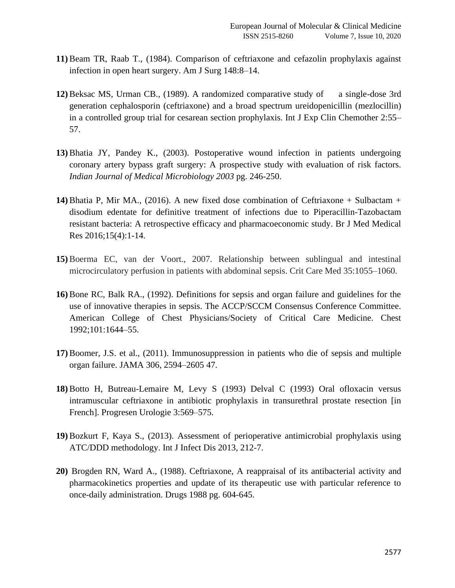- **11)** Beam TR, Raab T., (1984). Comparison of ceftriaxone and cefazolin prophylaxis against infection in open heart surgery. Am J Surg 148:8–14.
- **12)** Beksac MS, Urman CB., (1989). A randomized comparative study of a single-dose 3rd generation cephalosporin (ceftriaxone) and a broad spectrum ureidopenicillin (mezlocillin) in a controlled group trial for cesarean section prophylaxis. Int J Exp Clin Chemother 2:55– 57.
- **13)** Bhatia JY, Pandey K., (2003). Postoperative wound infection in patients undergoing coronary artery bypass graft surgery: A prospective study with evaluation of risk factors. *Indian Journal of Medical Microbiology 2003* pg. 246-250.
- **14)** Bhatia P, Mir MA., (2016). A new fixed dose combination of Ceftriaxone + Sulbactam + disodium edentate for definitive treatment of infections due to Piperacillin-Tazobactam resistant bacteria: A retrospective efficacy and pharmacoeconomic study. Br J Med Medical Res 2016;15(4):1-14.
- **15)** Boerma EC, van der Voort., 2007. Relationship between sublingual and intestinal microcirculatory perfusion in patients with abdominal sepsis. Crit Care Med 35:1055–1060.
- **16)** Bone RC, Balk RA., (1992). Definitions for sepsis and organ failure and guidelines for the use of innovative therapies in sepsis. The ACCP/SCCM Consensus Conference Committee. American College of Chest Physicians/Society of Critical Care Medicine. Chest 1992;101:1644–55.
- **17)** Boomer, J.S. et al., (2011). Immunosuppression in patients who die of sepsis and multiple organ failure. JAMA 306, 2594–2605 47.
- **18)** Botto H, Butreau-Lemaire M, Levy S (1993) Delval C (1993) Oral ofloxacin versus intramuscular ceftriaxone in antibiotic prophylaxis in transurethral prostate resection [in French]. Progresen Urologie 3:569–575.
- **19)** Bozkurt F, Kaya S., (2013). Assessment of perioperative antimicrobial prophylaxis using ATC/DDD methodology. Int J Infect Dis 2013, 212-7.
- **20)** Brogden RN, Ward A., (1988). Ceftriaxone, A reappraisal of its antibacterial activity and pharmacokinetics properties and update of its therapeutic use with particular reference to once-daily administration. Drugs 1988 pg. 604-645.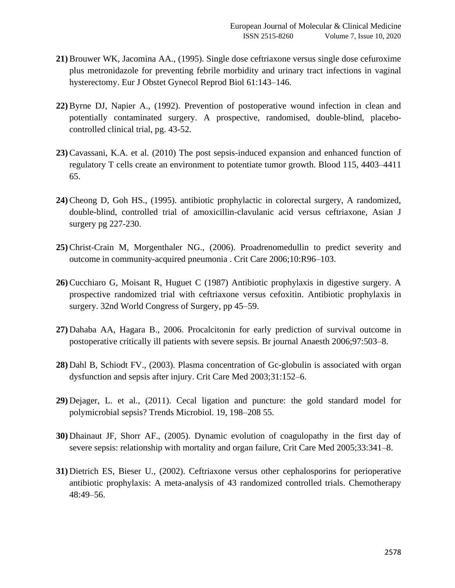- **21)** Brouwer WK, Jacomina AA., (1995). Single dose ceftriaxone versus single dose cefuroxime plus metronidazole for preventing febrile morbidity and urinary tract infections in vaginal hysterectomy. Eur J Obstet Gynecol Reprod Biol 61:143–146.
- **22)** Byrne DJ, Napier A., (1992). Prevention of postoperative wound infection in clean and potentially contaminated surgery. A prospective, randomised, double-blind, placebocontrolled clinical trial, pg. 43-52.
- **23)** Cavassani, K.A. et al. (2010) The post sepsis-induced expansion and enhanced function of regulatory T cells create an environment to potentiate tumor growth. Blood 115, 4403–4411 65.
- **24)** Cheong D, Goh HS., (1995). antibiotic prophylactic in colorectal surgery, A randomized, double-blind, controlled trial of amoxicillin-clavulanic acid versus ceftriaxone, Asian J surgery pg 227-230.
- **25)** Christ-Crain M, Morgenthaler NG., (2006). Proadrenomedullin to predict severity and outcome in community-acquired pneumonia . Crit Care 2006;10:R96–103.
- **26)** Cucchiaro G, Moisant R, Huguet C (1987) Antibiotic prophylaxis in digestive surgery. A prospective randomized trial with ceftriaxone versus cefoxitin. Antibiotic prophylaxis in surgery. 32nd World Congress of Surgery, pp 45–59.
- **27)** Dahaba AA, Hagara B., 2006. Procalcitonin for early prediction of survival outcome in postoperative critically ill patients with severe sepsis. Br journal Anaesth 2006;97:503–8.
- **28)** Dahl B, Schiodt FV., (2003). Plasma concentration of Gc-globulin is associated with organ dysfunction and sepsis after injury. Crit Care Med 2003;31:152–6.
- **29)** Dejager, L. et al., (2011). Cecal ligation and puncture: the gold standard model for polymicrobial sepsis? Trends Microbiol. 19, 198–208 55.
- **30)** Dhainaut JF, Shorr AF., (2005). Dynamic evolution of coagulopathy in the first day of severe sepsis: relationship with mortality and organ failure, Crit Care Med 2005;33:341–8.
- **31)** Dietrich ES, Bieser U., (2002). Ceftriaxone versus other cephalosporins for perioperative antibiotic prophylaxis: A meta-analysis of 43 randomized controlled trials. Chemotherapy 48:49–56.